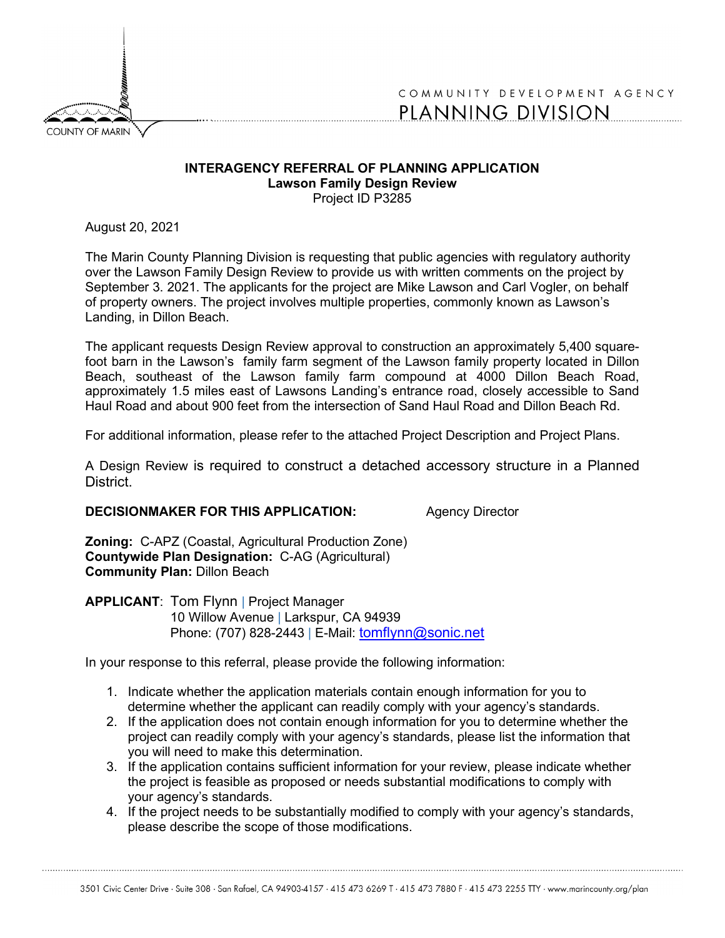

## COMMUNITY DEVELOPMENT AGENCY PLANNING DIVISION

## **INTERAGENCY REFERRAL OF PLANNING APPLICATION Lawson Family Design Review** Project ID P3285

August 20, 2021

The Marin County Planning Division is requesting that public agencies with regulatory authority over the Lawson Family Design Review to provide us with written comments on the project by September 3. 2021. The applicants for the project are Mike Lawson and Carl Vogler, on behalf of property owners. The project involves multiple properties, commonly known as Lawson's Landing, in Dillon Beach.

The applicant requests Design Review approval to construction an approximately 5,400 squarefoot barn in the Lawson's family farm segment of the Lawson family property located in Dillon Beach, southeast of the Lawson family farm compound at 4000 Dillon Beach Road, approximately 1.5 miles east of Lawsons Landing's entrance road, closely accessible to Sand Haul Road and about 900 feet from the intersection of Sand Haul Road and Dillon Beach Rd.

For additional information, please refer to the attached Project Description and Project Plans.

A Design Review is required to construct a detached accessory structure in a Planned District.

## **DECISIONMAKER FOR THIS APPLICATION:** Agency Director

**Zoning:** C-APZ (Coastal, Agricultural Production Zone) **Countywide Plan Designation:** C-AG (Agricultural) **Community Plan:** Dillon Beach

## **APPLICANT**: Tom Flynn | Project Manager

10 Willow Avenue | Larkspur, CA 94939 Phone: (707) 828-2443 | E-Mail: [tomflynn@sonic.net](mailto:tomflynn@sonic.net)

In your response to this referral, please provide the following information:

- 1. Indicate whether the application materials contain enough information for you to determine whether the applicant can readily comply with your agency's standards.
- 2. If the application does not contain enough information for you to determine whether the project can readily comply with your agency's standards, please list the information that you will need to make this determination.
- 3. If the application contains sufficient information for your review, please indicate whether the project is feasible as proposed or needs substantial modifications to comply with your agency's standards.
- 4. If the project needs to be substantially modified to comply with your agency's standards, please describe the scope of those modifications.